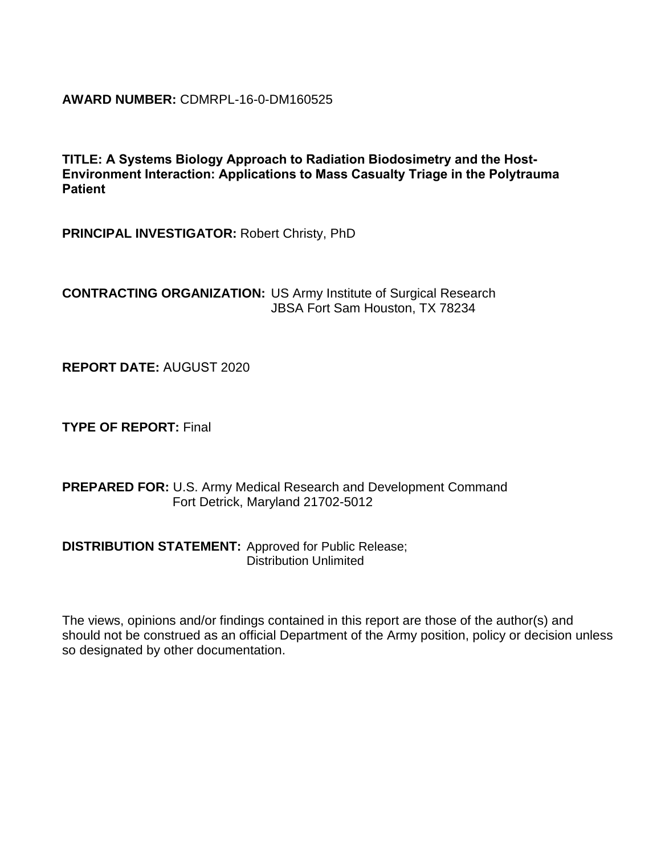**AWARD NUMBER:** CDMRPL-16-0-DM160525

**TITLE: A Systems Biology Approach to Radiation Biodosimetry and the Host-Environment Interaction: Applications to Mass Casualty Triage in the Polytrauma Patient**

**PRINCIPAL INVESTIGATOR:** Robert Christy, PhD

**CONTRACTING ORGANIZATION:** US Army Institute of Surgical Research JBSA Fort Sam Houston, TX 78234

**REPORT DATE:** AUGUST 2020

**TYPE OF REPORT:** Final

**PREPARED FOR:** U.S. Army Medical Research and Development Command Fort Detrick, Maryland 21702-5012

**DISTRIBUTION STATEMENT:** Approved for Public Release; Distribution Unlimited

The views, opinions and/or findings contained in this report are those of the author(s) and should not be construed as an official Department of the Army position, policy or decision unless so designated by other documentation.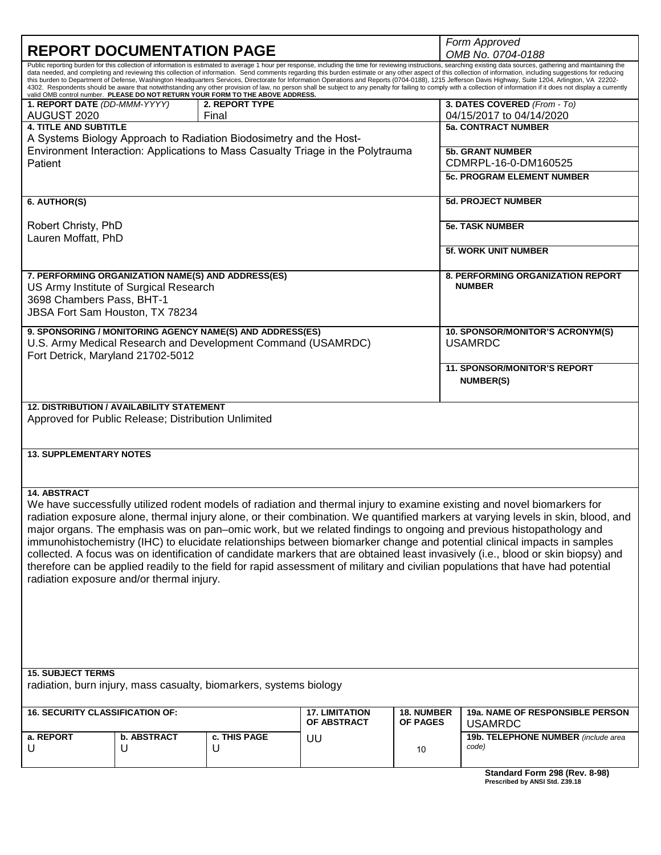|                                                                                                                                                                                                                                                                                                                                                                                                                                                                                                                                                                                                                                                                                                                                                                                                                                                                                                                                                                 |                  |                                                                    | Form Approved         |                             |                                                                                                                                                                                                                                                               |  |  |  |  |
|-----------------------------------------------------------------------------------------------------------------------------------------------------------------------------------------------------------------------------------------------------------------------------------------------------------------------------------------------------------------------------------------------------------------------------------------------------------------------------------------------------------------------------------------------------------------------------------------------------------------------------------------------------------------------------------------------------------------------------------------------------------------------------------------------------------------------------------------------------------------------------------------------------------------------------------------------------------------|------------------|--------------------------------------------------------------------|-----------------------|-----------------------------|---------------------------------------------------------------------------------------------------------------------------------------------------------------------------------------------------------------------------------------------------------------|--|--|--|--|
| <b>REPORT DOCUMENTATION PAGE</b>                                                                                                                                                                                                                                                                                                                                                                                                                                                                                                                                                                                                                                                                                                                                                                                                                                                                                                                                |                  |                                                                    | OMB No. 0704-0188     |                             |                                                                                                                                                                                                                                                               |  |  |  |  |
| Public reporting burden for this collection of information is estimated to average 1 hour per response, including the time for reviewing instructions, searching existing data sources, gathering and maintaining the<br>data needed, and completing and reviewing this collection of information. Send comments regarding this burden estimate or any other aspect of this collection of information, including suggestions for reducing<br>this burden to Department of Defense, Washington Headquarters Services, Directorate for Information Operations and Reports (0704-0188), 1215 Jefferson Davis Highway, Suite 1204, Arlington, VA 22202-<br>4302. Respondents should be aware that notwithstanding any other provision of law, no person shall be subject to any penalty for failing to comply with a collection of information if it does not display a currently<br>valid OMB control number. PLEASE DO NOT RETURN YOUR FORM TO THE ABOVE ADDRESS. |                  |                                                                    |                       |                             |                                                                                                                                                                                                                                                               |  |  |  |  |
| 1. REPORT DATE (DD-MMM-YYYY)                                                                                                                                                                                                                                                                                                                                                                                                                                                                                                                                                                                                                                                                                                                                                                                                                                                                                                                                    |                  | 2. REPORT TYPE                                                     |                       |                             | 3. DATES COVERED (From - To)                                                                                                                                                                                                                                  |  |  |  |  |
| AUGUST 2020<br><b>4. TITLE AND SUBTITLE</b>                                                                                                                                                                                                                                                                                                                                                                                                                                                                                                                                                                                                                                                                                                                                                                                                                                                                                                                     |                  | Final                                                              |                       |                             | 04/15/2017 to 04/14/2020<br><b>5a. CONTRACT NUMBER</b>                                                                                                                                                                                                        |  |  |  |  |
|                                                                                                                                                                                                                                                                                                                                                                                                                                                                                                                                                                                                                                                                                                                                                                                                                                                                                                                                                                 |                  | A Systems Biology Approach to Radiation Biodosimetry and the Host- |                       |                             |                                                                                                                                                                                                                                                               |  |  |  |  |
|                                                                                                                                                                                                                                                                                                                                                                                                                                                                                                                                                                                                                                                                                                                                                                                                                                                                                                                                                                 |                  |                                                                    |                       |                             | <b>5b. GRANT NUMBER</b>                                                                                                                                                                                                                                       |  |  |  |  |
| Environment Interaction: Applications to Mass Casualty Triage in the Polytrauma<br>Patient                                                                                                                                                                                                                                                                                                                                                                                                                                                                                                                                                                                                                                                                                                                                                                                                                                                                      |                  |                                                                    |                       |                             | CDMRPL-16-0-DM160525                                                                                                                                                                                                                                          |  |  |  |  |
|                                                                                                                                                                                                                                                                                                                                                                                                                                                                                                                                                                                                                                                                                                                                                                                                                                                                                                                                                                 |                  |                                                                    |                       |                             | <b>5c. PROGRAM ELEMENT NUMBER</b>                                                                                                                                                                                                                             |  |  |  |  |
| 6. AUTHOR(S)                                                                                                                                                                                                                                                                                                                                                                                                                                                                                                                                                                                                                                                                                                                                                                                                                                                                                                                                                    |                  |                                                                    |                       |                             | <b>5d. PROJECT NUMBER</b>                                                                                                                                                                                                                                     |  |  |  |  |
| Robert Christy, PhD                                                                                                                                                                                                                                                                                                                                                                                                                                                                                                                                                                                                                                                                                                                                                                                                                                                                                                                                             |                  |                                                                    |                       |                             | <b>5e. TASK NUMBER</b>                                                                                                                                                                                                                                        |  |  |  |  |
| Lauren Moffatt, PhD                                                                                                                                                                                                                                                                                                                                                                                                                                                                                                                                                                                                                                                                                                                                                                                                                                                                                                                                             |                  |                                                                    |                       | <b>5f. WORK UNIT NUMBER</b> |                                                                                                                                                                                                                                                               |  |  |  |  |
|                                                                                                                                                                                                                                                                                                                                                                                                                                                                                                                                                                                                                                                                                                                                                                                                                                                                                                                                                                 |                  |                                                                    |                       |                             |                                                                                                                                                                                                                                                               |  |  |  |  |
| 7. PERFORMING ORGANIZATION NAME(S) AND ADDRESS(ES)                                                                                                                                                                                                                                                                                                                                                                                                                                                                                                                                                                                                                                                                                                                                                                                                                                                                                                              |                  |                                                                    |                       |                             | 8. PERFORMING ORGANIZATION REPORT<br><b>NUMBER</b>                                                                                                                                                                                                            |  |  |  |  |
| US Army Institute of Surgical Research<br>3698 Chambers Pass, BHT-1                                                                                                                                                                                                                                                                                                                                                                                                                                                                                                                                                                                                                                                                                                                                                                                                                                                                                             |                  |                                                                    |                       |                             |                                                                                                                                                                                                                                                               |  |  |  |  |
| JBSA Fort Sam Houston, TX 78234                                                                                                                                                                                                                                                                                                                                                                                                                                                                                                                                                                                                                                                                                                                                                                                                                                                                                                                                 |                  |                                                                    |                       |                             |                                                                                                                                                                                                                                                               |  |  |  |  |
|                                                                                                                                                                                                                                                                                                                                                                                                                                                                                                                                                                                                                                                                                                                                                                                                                                                                                                                                                                 |                  | 9. SPONSORING / MONITORING AGENCY NAME(S) AND ADDRESS(ES)          |                       |                             | 10. SPONSOR/MONITOR'S ACRONYM(S)                                                                                                                                                                                                                              |  |  |  |  |
| U.S. Army Medical Research and Development Command (USAMRDC)<br>Fort Detrick, Maryland 21702-5012                                                                                                                                                                                                                                                                                                                                                                                                                                                                                                                                                                                                                                                                                                                                                                                                                                                               |                  |                                                                    |                       |                             | <b>USAMRDC</b>                                                                                                                                                                                                                                                |  |  |  |  |
|                                                                                                                                                                                                                                                                                                                                                                                                                                                                                                                                                                                                                                                                                                                                                                                                                                                                                                                                                                 |                  |                                                                    |                       |                             | <b>11. SPONSOR/MONITOR'S REPORT</b>                                                                                                                                                                                                                           |  |  |  |  |
|                                                                                                                                                                                                                                                                                                                                                                                                                                                                                                                                                                                                                                                                                                                                                                                                                                                                                                                                                                 |                  |                                                                    |                       |                             | <b>NUMBER(S)</b>                                                                                                                                                                                                                                              |  |  |  |  |
|                                                                                                                                                                                                                                                                                                                                                                                                                                                                                                                                                                                                                                                                                                                                                                                                                                                                                                                                                                 |                  |                                                                    |                       |                             |                                                                                                                                                                                                                                                               |  |  |  |  |
| <b>12. DISTRIBUTION / AVAILABILITY STATEMENT</b><br>Approved for Public Release; Distribution Unlimited<br><b>13. SUPPLEMENTARY NOTES</b>                                                                                                                                                                                                                                                                                                                                                                                                                                                                                                                                                                                                                                                                                                                                                                                                                       |                  |                                                                    |                       |                             |                                                                                                                                                                                                                                                               |  |  |  |  |
|                                                                                                                                                                                                                                                                                                                                                                                                                                                                                                                                                                                                                                                                                                                                                                                                                                                                                                                                                                 |                  |                                                                    |                       |                             |                                                                                                                                                                                                                                                               |  |  |  |  |
| <b>14. ABSTRACT</b>                                                                                                                                                                                                                                                                                                                                                                                                                                                                                                                                                                                                                                                                                                                                                                                                                                                                                                                                             |                  |                                                                    |                       |                             |                                                                                                                                                                                                                                                               |  |  |  |  |
|                                                                                                                                                                                                                                                                                                                                                                                                                                                                                                                                                                                                                                                                                                                                                                                                                                                                                                                                                                 |                  |                                                                    |                       |                             | We have successfully utilized rodent models of radiation and thermal injury to examine existing and novel biomarkers for                                                                                                                                      |  |  |  |  |
|                                                                                                                                                                                                                                                                                                                                                                                                                                                                                                                                                                                                                                                                                                                                                                                                                                                                                                                                                                 |                  |                                                                    |                       |                             | radiation exposure alone, thermal injury alone, or their combination. We quantified markers at varying levels in skin, blood, and                                                                                                                             |  |  |  |  |
|                                                                                                                                                                                                                                                                                                                                                                                                                                                                                                                                                                                                                                                                                                                                                                                                                                                                                                                                                                 |                  |                                                                    |                       |                             | major organs. The emphasis was on pan-omic work, but we related findings to ongoing and previous histopathology and                                                                                                                                           |  |  |  |  |
|                                                                                                                                                                                                                                                                                                                                                                                                                                                                                                                                                                                                                                                                                                                                                                                                                                                                                                                                                                 |                  |                                                                    |                       |                             | immunohistochemistry (IHC) to elucidate relationships between biomarker change and potential clinical impacts in samples<br>collected. A focus was on identification of candidate markers that are obtained least invasively (i.e., blood or skin biopsy) and |  |  |  |  |
|                                                                                                                                                                                                                                                                                                                                                                                                                                                                                                                                                                                                                                                                                                                                                                                                                                                                                                                                                                 |                  |                                                                    |                       |                             | therefore can be applied readily to the field for rapid assessment of military and civilian populations that have had potential                                                                                                                               |  |  |  |  |
| radiation exposure and/or thermal injury.                                                                                                                                                                                                                                                                                                                                                                                                                                                                                                                                                                                                                                                                                                                                                                                                                                                                                                                       |                  |                                                                    |                       |                             |                                                                                                                                                                                                                                                               |  |  |  |  |
|                                                                                                                                                                                                                                                                                                                                                                                                                                                                                                                                                                                                                                                                                                                                                                                                                                                                                                                                                                 |                  |                                                                    |                       |                             |                                                                                                                                                                                                                                                               |  |  |  |  |
|                                                                                                                                                                                                                                                                                                                                                                                                                                                                                                                                                                                                                                                                                                                                                                                                                                                                                                                                                                 |                  |                                                                    |                       |                             |                                                                                                                                                                                                                                                               |  |  |  |  |
|                                                                                                                                                                                                                                                                                                                                                                                                                                                                                                                                                                                                                                                                                                                                                                                                                                                                                                                                                                 |                  |                                                                    |                       |                             |                                                                                                                                                                                                                                                               |  |  |  |  |
|                                                                                                                                                                                                                                                                                                                                                                                                                                                                                                                                                                                                                                                                                                                                                                                                                                                                                                                                                                 |                  |                                                                    |                       |                             |                                                                                                                                                                                                                                                               |  |  |  |  |
|                                                                                                                                                                                                                                                                                                                                                                                                                                                                                                                                                                                                                                                                                                                                                                                                                                                                                                                                                                 |                  |                                                                    |                       |                             |                                                                                                                                                                                                                                                               |  |  |  |  |
|                                                                                                                                                                                                                                                                                                                                                                                                                                                                                                                                                                                                                                                                                                                                                                                                                                                                                                                                                                 |                  |                                                                    |                       |                             |                                                                                                                                                                                                                                                               |  |  |  |  |
| <b>15. SUBJECT TERMS</b>                                                                                                                                                                                                                                                                                                                                                                                                                                                                                                                                                                                                                                                                                                                                                                                                                                                                                                                                        |                  |                                                                    |                       |                             |                                                                                                                                                                                                                                                               |  |  |  |  |
| radiation, burn injury, mass casualty, biomarkers, systems biology                                                                                                                                                                                                                                                                                                                                                                                                                                                                                                                                                                                                                                                                                                                                                                                                                                                                                              |                  |                                                                    |                       |                             |                                                                                                                                                                                                                                                               |  |  |  |  |
| <b>16. SECURITY CLASSIFICATION OF:</b>                                                                                                                                                                                                                                                                                                                                                                                                                                                                                                                                                                                                                                                                                                                                                                                                                                                                                                                          |                  |                                                                    | <b>17. LIMITATION</b> | <b>18. NUMBER</b>           | 19a. NAME OF RESPONSIBLE PERSON                                                                                                                                                                                                                               |  |  |  |  |
|                                                                                                                                                                                                                                                                                                                                                                                                                                                                                                                                                                                                                                                                                                                                                                                                                                                                                                                                                                 |                  |                                                                    | OF ABSTRACT           | OF PAGES                    | <b>USAMRDC</b>                                                                                                                                                                                                                                                |  |  |  |  |
| a. REPORT<br>U                                                                                                                                                                                                                                                                                                                                                                                                                                                                                                                                                                                                                                                                                                                                                                                                                                                                                                                                                  | b. ABSTRACT<br>U | c. THIS PAGE<br>U                                                  | UU                    | 10                          | 19b. TELEPHONE NUMBER (include area<br>code)                                                                                                                                                                                                                  |  |  |  |  |
|                                                                                                                                                                                                                                                                                                                                                                                                                                                                                                                                                                                                                                                                                                                                                                                                                                                                                                                                                                 |                  |                                                                    |                       |                             | Standard Form 298 (Rev. 8-98)                                                                                                                                                                                                                                 |  |  |  |  |
|                                                                                                                                                                                                                                                                                                                                                                                                                                                                                                                                                                                                                                                                                                                                                                                                                                                                                                                                                                 |                  |                                                                    |                       |                             |                                                                                                                                                                                                                                                               |  |  |  |  |

**Prescribed by ANSI Std. Z39.18**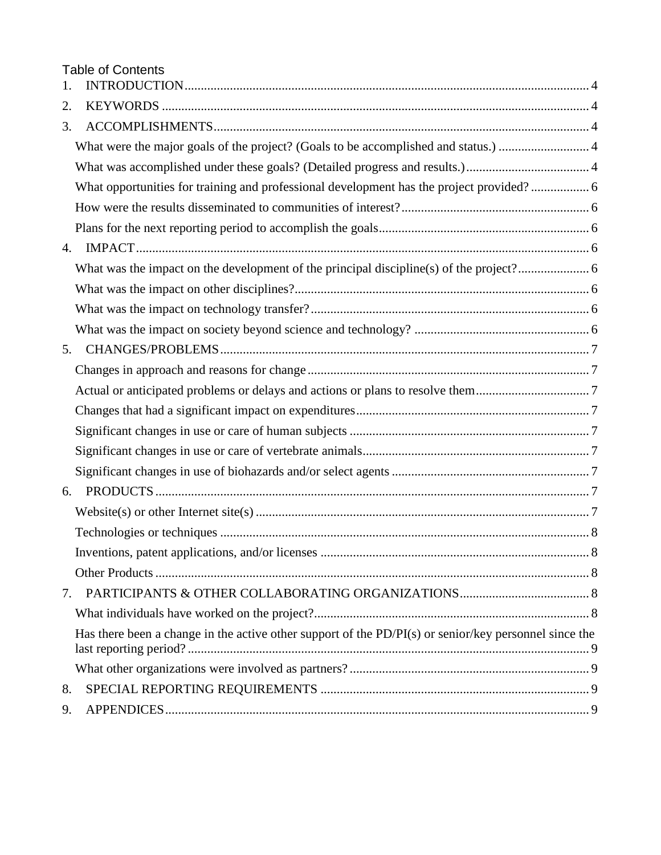Table of Contents

| 1. |                                                                                                       |  |
|----|-------------------------------------------------------------------------------------------------------|--|
| 2. |                                                                                                       |  |
| 3. |                                                                                                       |  |
|    |                                                                                                       |  |
|    |                                                                                                       |  |
|    | What opportunities for training and professional development has the project provided? 6              |  |
|    |                                                                                                       |  |
|    |                                                                                                       |  |
| 4. |                                                                                                       |  |
|    |                                                                                                       |  |
|    |                                                                                                       |  |
|    |                                                                                                       |  |
|    |                                                                                                       |  |
| 5. |                                                                                                       |  |
|    |                                                                                                       |  |
|    |                                                                                                       |  |
|    |                                                                                                       |  |
|    |                                                                                                       |  |
|    |                                                                                                       |  |
|    |                                                                                                       |  |
| 6. |                                                                                                       |  |
|    |                                                                                                       |  |
|    |                                                                                                       |  |
|    |                                                                                                       |  |
|    |                                                                                                       |  |
| 7. |                                                                                                       |  |
|    |                                                                                                       |  |
|    | Has there been a change in the active other support of the PD/PI(s) or senior/key personnel since the |  |
|    |                                                                                                       |  |
| 8. |                                                                                                       |  |
| 9. |                                                                                                       |  |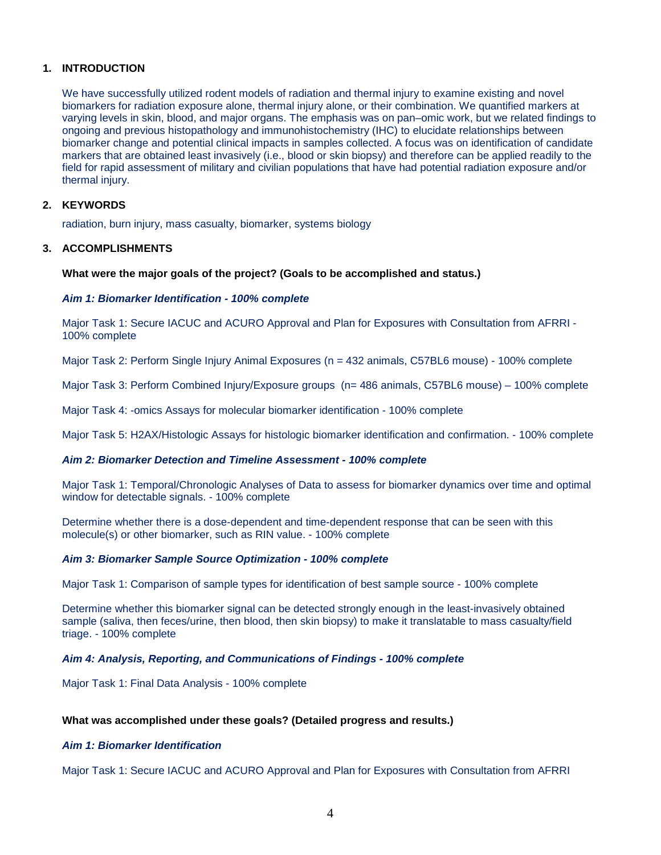## <span id="page-3-0"></span>**1. INTRODUCTION**

We have successfully utilized rodent models of radiation and thermal injury to examine existing and novel biomarkers for radiation exposure alone, thermal injury alone, or their combination. We quantified markers at varying levels in skin, blood, and major organs. The emphasis was on pan–omic work, but we related findings to ongoing and previous histopathology and immunohistochemistry (IHC) to elucidate relationships between biomarker change and potential clinical impacts in samples collected. A focus was on identification of candidate markers that are obtained least invasively (i.e., blood or skin biopsy) and therefore can be applied readily to the field for rapid assessment of military and civilian populations that have had potential radiation exposure and/or thermal injury.

## <span id="page-3-1"></span>**2. KEYWORDS**

radiation, burn injury, mass casualty, biomarker, systems biology

## <span id="page-3-2"></span>**3. ACCOMPLISHMENTS**

#### <span id="page-3-3"></span>**What were the major goals of the project? (Goals to be accomplished and status.)**

#### *Aim 1: Biomarker Identification - 100% complete*

Major Task 1: Secure IACUC and ACURO Approval and Plan for Exposures with Consultation from AFRRI - 100% complete

Major Task 2: Perform Single Injury Animal Exposures (n = 432 animals, C57BL6 mouse) - 100% complete

Major Task 3: Perform Combined Injury/Exposure groups (n= 486 animals, C57BL6 mouse) – 100% complete

Major Task 4: -omics Assays for molecular biomarker identification - 100% complete

Major Task 5: H2AX/Histologic Assays for histologic biomarker identification and confirmation. - 100% complete

## *Aim 2: Biomarker Detection and Timeline Assessment - 100% complete*

Major Task 1: Temporal/Chronologic Analyses of Data to assess for biomarker dynamics over time and optimal window for detectable signals. - 100% complete

Determine whether there is a dose-dependent and time-dependent response that can be seen with this molecule(s) or other biomarker, such as RIN value. - 100% complete

## *Aim 3: Biomarker Sample Source Optimization - 100% complete*

Major Task 1: Comparison of sample types for identification of best sample source - 100% complete

Determine whether this biomarker signal can be detected strongly enough in the least-invasively obtained sample (saliva, then feces/urine, then blood, then skin biopsy) to make it translatable to mass casualty/field triage. - 100% complete

## *Aim 4: Analysis, Reporting, and Communications of Findings - 100% complete*

Major Task 1: Final Data Analysis - 100% complete

## <span id="page-3-4"></span>**What was accomplished under these goals? (Detailed progress and results.)**

#### *Aim 1: Biomarker Identification*

Major Task 1: Secure IACUC and ACURO Approval and Plan for Exposures with Consultation from AFRRI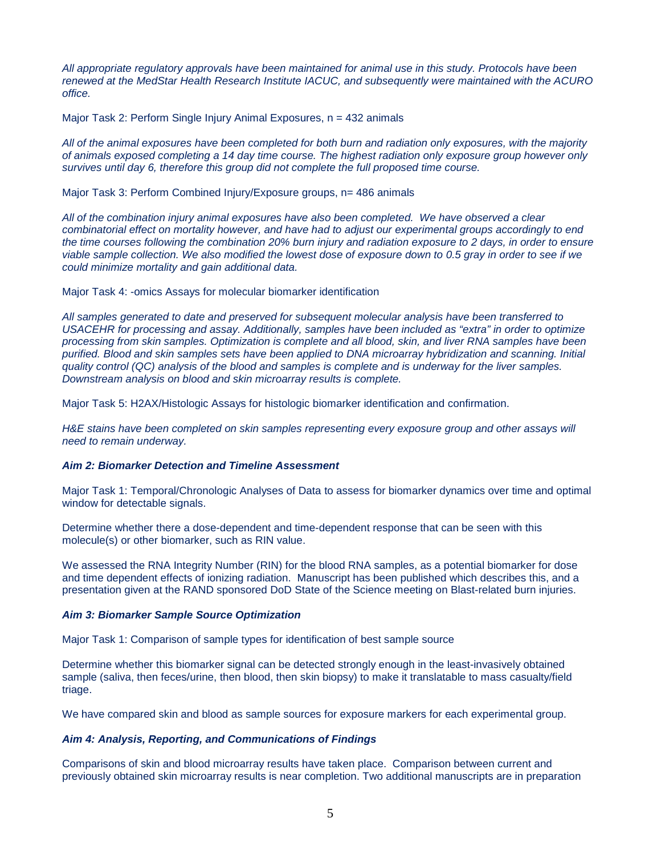*All appropriate regulatory approvals have been maintained for animal use in this study. Protocols have been renewed at the MedStar Health Research Institute IACUC, and subsequently were maintained with the ACURO office.* 

Major Task 2: Perform Single Injury Animal Exposures, n = 432 animals

*All of the animal exposures have been completed for both burn and radiation only exposures, with the majority of animals exposed completing a 14 day time course. The highest radiation only exposure group however only survives until day 6, therefore this group did not complete the full proposed time course.*

Major Task 3: Perform Combined Injury/Exposure groups, n= 486 animals

*All of the combination injury animal exposures have also been completed. We have observed a clear combinatorial effect on mortality however, and have had to adjust our experimental groups accordingly to end the time courses following the combination 20% burn injury and radiation exposure to 2 days, in order to ensure viable sample collection. We also modified the lowest dose of exposure down to 0.5 gray in order to see if we could minimize mortality and gain additional data.* 

Major Task 4: -omics Assays for molecular biomarker identification

*All samples generated to date and preserved for subsequent molecular analysis have been transferred to USACEHR for processing and assay. Additionally, samples have been included as "extra" in order to optimize processing from skin samples. Optimization is complete and all blood, skin, and liver RNA samples have been purified. Blood and skin samples sets have been applied to DNA microarray hybridization and scanning. Initial quality control (QC) analysis of the blood and samples is complete and is underway for the liver samples. Downstream analysis on blood and skin microarray results is complete.* 

Major Task 5: H2AX/Histologic Assays for histologic biomarker identification and confirmation.

*H&E stains have been completed on skin samples representing every exposure group and other assays will need to remain underway.* 

## *Aim 2: Biomarker Detection and Timeline Assessment*

Major Task 1: Temporal/Chronologic Analyses of Data to assess for biomarker dynamics over time and optimal window for detectable signals.

Determine whether there a dose-dependent and time-dependent response that can be seen with this molecule(s) or other biomarker, such as RIN value.

We assessed the RNA Integrity Number (RIN) for the blood RNA samples, as a potential biomarker for dose and time dependent effects of ionizing radiation. Manuscript has been published which describes this, and a presentation given at the RAND sponsored DoD State of the Science meeting on Blast-related burn injuries.

## *Aim 3: Biomarker Sample Source Optimization*

Major Task 1: Comparison of sample types for identification of best sample source

Determine whether this biomarker signal can be detected strongly enough in the least-invasively obtained sample (saliva, then feces/urine, then blood, then skin biopsy) to make it translatable to mass casualty/field triage.

We have compared skin and blood as sample sources for exposure markers for each experimental group.

## *Aim 4: Analysis, Reporting, and Communications of Findings*

Comparisons of skin and blood microarray results have taken place. Comparison between current and previously obtained skin microarray results is near completion. Two additional manuscripts are in preparation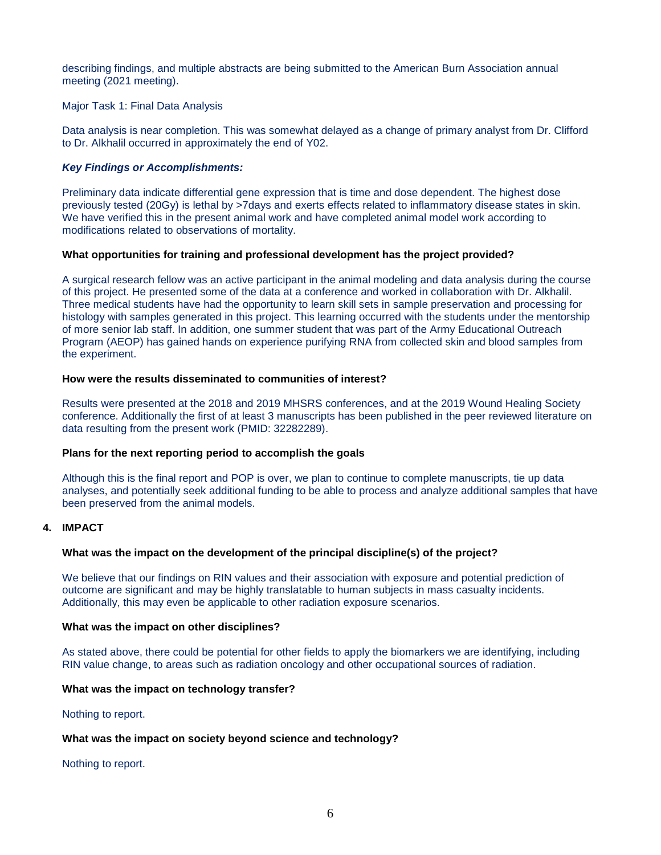describing findings, and multiple abstracts are being submitted to the American Burn Association annual meeting (2021 meeting).

Major Task 1: Final Data Analysis

Data analysis is near completion. This was somewhat delayed as a change of primary analyst from Dr. Clifford to Dr. Alkhalil occurred in approximately the end of Y02.

## *Key Findings or Accomplishments:*

Preliminary data indicate differential gene expression that is time and dose dependent. The highest dose previously tested (20Gy) is lethal by >7days and exerts effects related to inflammatory disease states in skin. We have verified this in the present animal work and have completed animal model work according to modifications related to observations of mortality.

## <span id="page-5-0"></span>**What opportunities for training and professional development has the project provided?**

A surgical research fellow was an active participant in the animal modeling and data analysis during the course of this project. He presented some of the data at a conference and worked in collaboration with Dr. Alkhalil. Three medical students have had the opportunity to learn skill sets in sample preservation and processing for histology with samples generated in this project. This learning occurred with the students under the mentorship of more senior lab staff. In addition, one summer student that was part of the Army Educational Outreach Program (AEOP) has gained hands on experience purifying RNA from collected skin and blood samples from the experiment.

#### <span id="page-5-1"></span>**How were the results disseminated to communities of interest?**

Results were presented at the 2018 and 2019 MHSRS conferences, and at the 2019 Wound Healing Society conference. Additionally the first of at least 3 manuscripts has been published in the peer reviewed literature on data resulting from the present work (PMID: 32282289).

## <span id="page-5-2"></span>**Plans for the next reporting period to accomplish the goals**

Although this is the final report and POP is over, we plan to continue to complete manuscripts, tie up data analyses, and potentially seek additional funding to be able to process and analyze additional samples that have been preserved from the animal models.

## <span id="page-5-3"></span>**4. IMPACT**

## <span id="page-5-4"></span>**What was the impact on the development of the principal discipline(s) of the project?**

We believe that our findings on RIN values and their association with exposure and potential prediction of outcome are significant and may be highly translatable to human subjects in mass casualty incidents. Additionally, this may even be applicable to other radiation exposure scenarios.

#### <span id="page-5-5"></span>**What was the impact on other disciplines?**

As stated above, there could be potential for other fields to apply the biomarkers we are identifying, including RIN value change, to areas such as radiation oncology and other occupational sources of radiation.

## <span id="page-5-6"></span>**What was the impact on technology transfer?**

Nothing to report.

## <span id="page-5-7"></span>**What was the impact on society beyond science and technology?**

Nothing to report.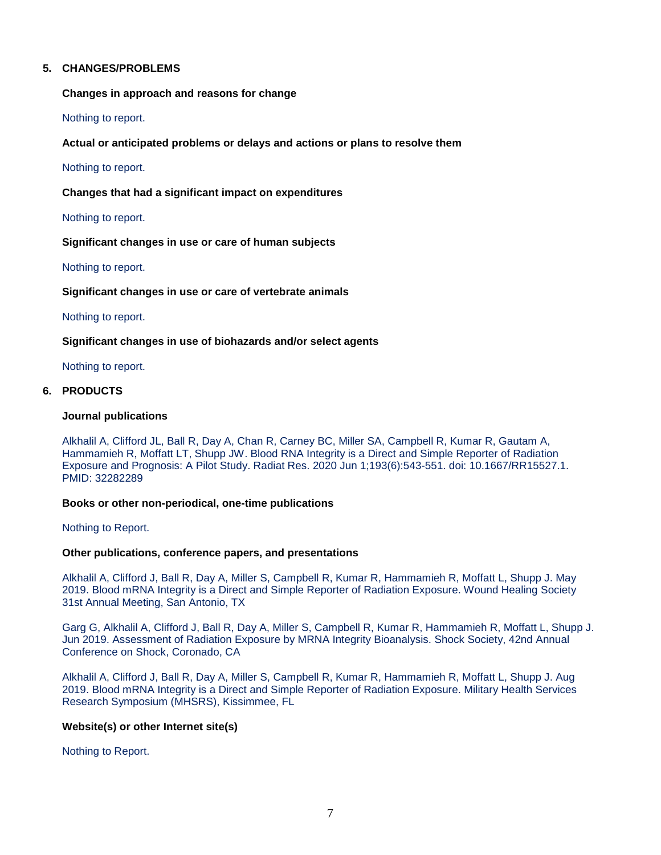## <span id="page-6-0"></span>**5. CHANGES/PROBLEMS**

<span id="page-6-1"></span>**Changes in approach and reasons for change**

Nothing to report.

<span id="page-6-2"></span>**Actual or anticipated problems or delays and actions or plans to resolve them**

Nothing to report.

<span id="page-6-3"></span>**Changes that had a significant impact on expenditures**

Nothing to report.

<span id="page-6-4"></span>**Significant changes in use or care of human subjects**

Nothing to report.

<span id="page-6-5"></span>**Significant changes in use or care of vertebrate animals**

Nothing to report.

<span id="page-6-6"></span>**Significant changes in use of biohazards and/or select agents**

Nothing to report.

## <span id="page-6-7"></span>**6. PRODUCTS**

#### **Journal publications**

Alkhalil A, Clifford JL, Ball R, Day A, Chan R, Carney BC, Miller SA, Campbell R, Kumar R, Gautam A, Hammamieh R, Moffatt LT, Shupp JW. Blood RNA Integrity is a Direct and Simple Reporter of Radiation Exposure and Prognosis: A Pilot Study. Radiat Res. 2020 Jun 1;193(6):543-551. doi: 10.1667/RR15527.1. PMID: 32282289

#### **Books or other non-periodical, one-time publications**

Nothing to Report.

## **Other publications, conference papers, and presentations**

Alkhalil A, Clifford J, Ball R, Day A, Miller S, Campbell R, Kumar R, Hammamieh R, Moffatt L, Shupp J. May 2019. Blood mRNA Integrity is a Direct and Simple Reporter of Radiation Exposure. Wound Healing Society 31st Annual Meeting, San Antonio, TX

Garg G, Alkhalil A, Clifford J, Ball R, Day A, Miller S, Campbell R, Kumar R, Hammamieh R, Moffatt L, Shupp J. Jun 2019. Assessment of Radiation Exposure by MRNA Integrity Bioanalysis. Shock Society, 42nd Annual Conference on Shock, Coronado, CA

Alkhalil A, Clifford J, Ball R, Day A, Miller S, Campbell R, Kumar R, Hammamieh R, Moffatt L, Shupp J. Aug 2019. Blood mRNA Integrity is a Direct and Simple Reporter of Radiation Exposure. Military Health Services Research Symposium (MHSRS), Kissimmee, FL

## <span id="page-6-8"></span>**Website(s) or other Internet site(s)**

Nothing to Report.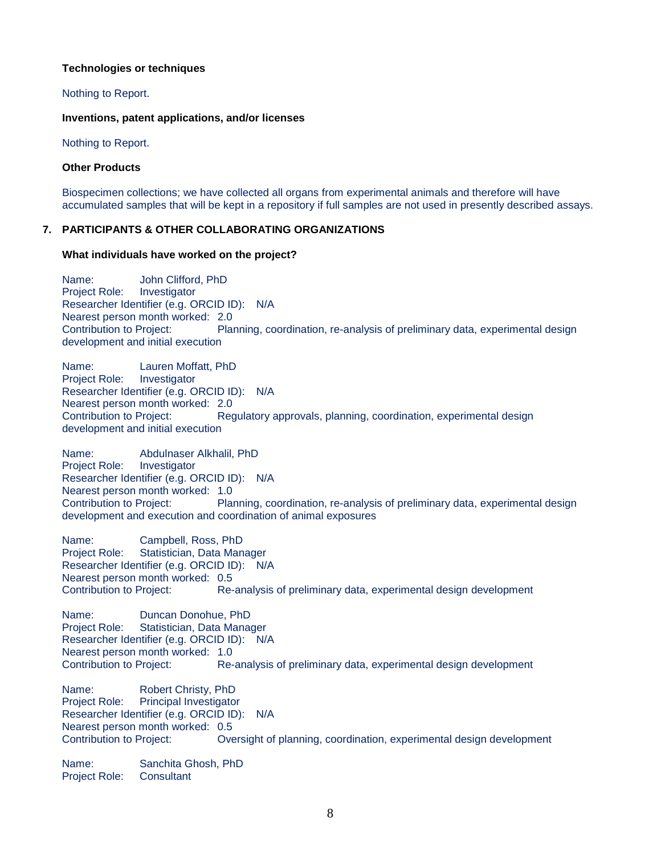## <span id="page-7-0"></span>**Technologies or techniques**

## Nothing to Report.

## <span id="page-7-1"></span>**Inventions, patent applications, and/or licenses**

Nothing to Report.

## <span id="page-7-2"></span>**Other Products**

Biospecimen collections; we have collected all organs from experimental animals and therefore will have accumulated samples that will be kept in a repository if full samples are not used in presently described assays.

## <span id="page-7-3"></span>**7. PARTICIPANTS & OTHER COLLABORATING ORGANIZATIONS**

## <span id="page-7-4"></span>**What individuals have worked on the project?**

Name: John Clifford, PhD Project Role: Investigator Researcher Identifier (e.g. ORCID ID): N/A Nearest person month worked: 2.0 Contribution to Project: Planning, coordination, re-analysis of preliminary data, experimental design development and initial execution

Name: Lauren Moffatt, PhD Project Role: Investigator Researcher Identifier (e.g. ORCID ID): N/A Nearest person month worked: 2.0 Contribution to Project: Regulatory approvals, planning, coordination, experimental design development and initial execution

Name: Abdulnaser Alkhalil, PhD Project Role: Investigator Researcher Identifier (e.g. ORCID ID): N/A Nearest person month worked: 1.0 Contribution to Project: Planning, coordination, re-analysis of preliminary data, experimental design development and execution and coordination of animal exposures

Name: Campbell, Ross, PhD Project Role: Statistician, Data Manager Researcher Identifier (e.g. ORCID ID): N/A Nearest person month worked: 0.5 Contribution to Project: Re-analysis of preliminary data, experimental design development

Name: Duncan Donohue, PhD Project Role: Statistician, Data Manager Researcher Identifier (e.g. ORCID ID): N/A Nearest person month worked: 1.0<br>Contribution to Project: Re-Re-analysis of preliminary data, experimental design development Name: Robert Christy, PhD Project Role: Principal Investigator Researcher Identifier (e.g. ORCID ID): N/A Nearest person month worked: 0.5 Contribution to Project: Oversight of planning, coordination, experimental design development

Name: Sanchita Ghosh, PhD Project Role: Consultant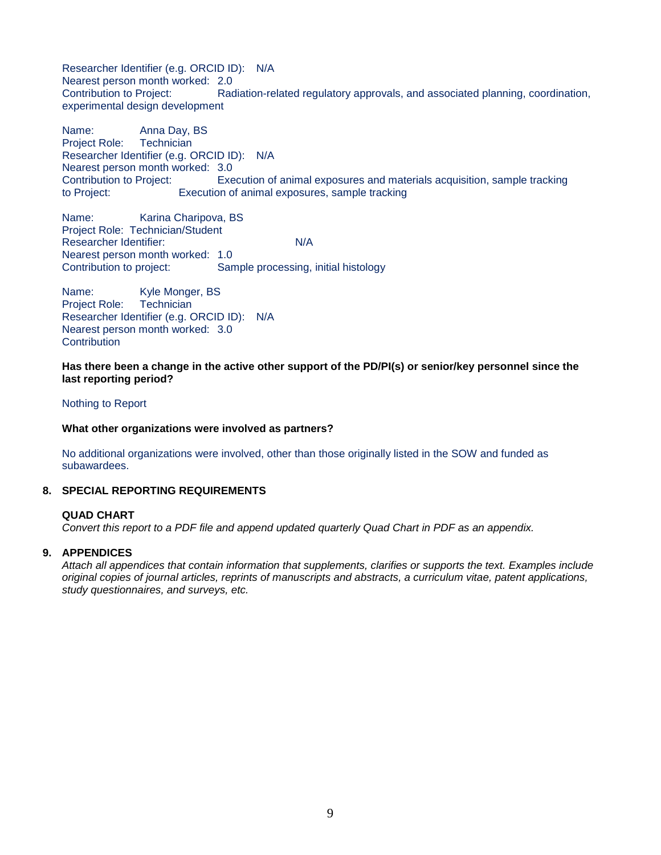Researcher Identifier (e.g. ORCID ID): N/A Nearest person month worked: 2.0 Contribution to Project: Radiation-related regulatory approvals, and associated planning, coordination, experimental design development

Name: Anna Day, BS<br>Proiect Role: Technician Project Role: Researcher Identifier (e.g. ORCID ID): N/A Nearest person month worked: 3.0<br>Contribution to Project: Exe Execution of animal exposures and materials acquisition, sample tracking to Project: Execution of animal exposures, sample tracking

Name: Karina Charipova, BS Project Role: Technician/Student Researcher Identifier: N/A Nearest person month worked: 1.0 Contribution to project: Sample processing, initial histology

Name: Kyle Monger, BS Project Role: Technician Researcher Identifier (e.g. ORCID ID): N/A Nearest person month worked: 3.0 **Contribution** 

<span id="page-8-0"></span>**Has there been a change in the active other support of the PD/PI(s) or senior/key personnel since the last reporting period?**

#### Nothing to Report

<span id="page-8-1"></span>**What other organizations were involved as partners?**

No additional organizations were involved, other than those originally listed in the SOW and funded as subawardees.

## <span id="page-8-2"></span>**8. SPECIAL REPORTING REQUIREMENTS**

#### **QUAD CHART**

*Convert this report to a PDF file and append updated quarterly Quad Chart in PDF as an appendix.*

## **9. APPENDICES**

<span id="page-8-3"></span>*Attach all appendices that contain information that supplements, clarifies or supports the text. Examples include original copies of journal articles, reprints of manuscripts and abstracts, a curriculum vitae, patent applications, study questionnaires, and surveys, etc.*